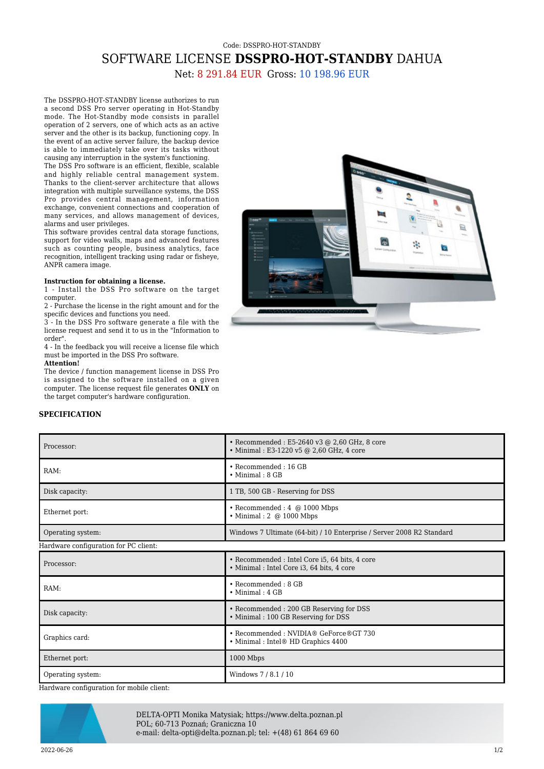## Code: DSSPRO-HOT-STANDBY SOFTWARE LICENSE **DSSPRO-HOT-STANDBY** DAHUA

Net: 8 291.84 EUR Gross: 10 198.96 EUR

The DSSPRO-HOT-STANDBY license authorizes to run a second DSS Pro server operating in Hot-Standby mode. The Hot-Standby mode consists in parallel operation of 2 servers, one of which acts as an active server and the other is its backup, functioning copy. In the event of an active server failure, the backup device is able to immediately take over its tasks without causing any interruption in the system's functioning.

The DSS Pro software is an efficient, flexible, scalable and highly reliable central management system. Thanks to the client-server architecture that allows integration with multiple surveillance systems, the DSS Pro provides central management, information exchange, convenient connections and cooperation of many services, and allows management of devices, alarms and user privileges.

This software provides central data storage functions, support for video walls, maps and advanced features such as counting people, business analytics, face recognition, intelligent tracking using radar or fisheve. ANPR camera image.

## **Instruction for obtaining a license.**

1 - Install the DSS Pro software on the target computer.

2 - Purchase the license in the right amount and for the specific devices and functions you need.

3 - In the DSS Pro software generate a file with the license request and send it to us in the "Information to order".

4 - In the feedback you will receive a license file which must be imported in the DSS Pro software. **Attention!**

The device / function management license in DSS Pro is assigned to the software installed on a given computer. The license request file generates **ONLY** on the target computer's hardware configuration.



## **SPECIFICATION**

| Processor:                            | • Recommended : E5-2640 v3 @ 2,60 GHz, 8 core<br>• Minimal: E3-1220 v5 @ 2,60 GHz, 4 core   |
|---------------------------------------|---------------------------------------------------------------------------------------------|
| RAM:                                  | • Recommended: 16 GB<br>$\bullet$ Minimal : 8 GB                                            |
| Disk capacity:                        | 1 TB, 500 GB - Reserving for DSS                                                            |
| Ethernet port:                        | $\bullet$ Recommended : 4 $\omega$ 1000 Mbps<br>$\bullet$ Minimal : 2 @ 1000 Mbps           |
| Operating system:                     | Windows 7 Ultimate (64-bit) / 10 Enterprise / Server 2008 R2 Standard                       |
| Hardware configuration for PC client: |                                                                                             |
| Processor:                            | • Recommended : Intel Core i5, 64 bits, 4 core<br>• Minimal: Intel Core i3, 64 bits, 4 core |
| RAM:                                  | $\bullet$ Recommended : 8 GB<br>$\bullet$ Minimal : 4 GB                                    |
| Disk capacity:                        | • Recommended : 200 GB Reserving for DSS<br>• Minimal: 100 GB Reserving for DSS             |
| Graphics card:                        | • Recommended: NVIDIA® GeForce®GT 730<br>• Minimal : Intel® HD Graphics 4400                |
| Ethernet port:                        | 1000 Mbps                                                                                   |
| Operating system:                     | Windows 7/8.1/10                                                                            |

Hardware configuration for mobile client:



DELTA-OPTI Monika Matysiak; https://www.delta.poznan.pl POL; 60-713 Poznań; Graniczna 10 e-mail: delta-opti@delta.poznan.pl; tel: +(48) 61 864 69 60